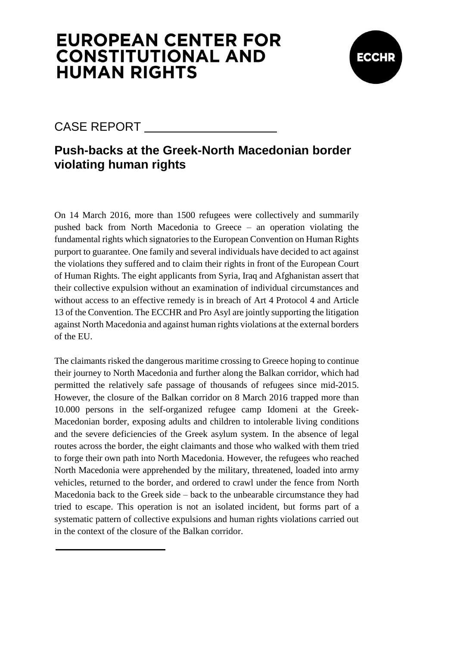

### CASE REPORT

### **Push-backs at the Greek-North Macedonian border violating human rights**

On 14 March 2016, more than 1500 refugees were collectively and summarily pushed back from North Macedonia to Greece – an operation violating the fundamental rights which signatories to the European Convention on Human Rights purport to guarantee. One family and several individuals have decided to act against the violations they suffered and to claim their rights in front of the European Court of Human Rights. The eight applicants from Syria, Iraq and Afghanistan assert that their collective expulsion without an examination of individual circumstances and without access to an effective remedy is in breach of Art 4 Protocol 4 and Article 13 of the Convention. The ECCHR and Pro Asyl are jointly supporting the litigation against North Macedonia and against human rights violations at the external borders of the EU.

The claimants risked the dangerous maritime crossing to Greece hoping to continue their journey to North Macedonia and further along the Balkan corridor, which had permitted the relatively safe passage of thousands of refugees since mid-2015. However, the closure of the Balkan corridor on 8 March 2016 trapped more than 10.000 persons in the self-organized refugee camp Idomeni at the Greek-Macedonian border, exposing adults and children to intolerable living conditions and the severe deficiencies of the Greek asylum system. In the absence of legal routes across the border, the eight claimants and those who walked with them tried to forge their own path into North Macedonia. However, the refugees who reached North Macedonia were apprehended by the military, threatened, loaded into army vehicles, returned to the border, and ordered to crawl under the fence from North Macedonia back to the Greek side – back to the unbearable circumstance they had tried to escape. This operation is not an isolated incident, but forms part of a systematic pattern of collective expulsions and human rights violations carried out in the context of the closure of the Balkan corridor.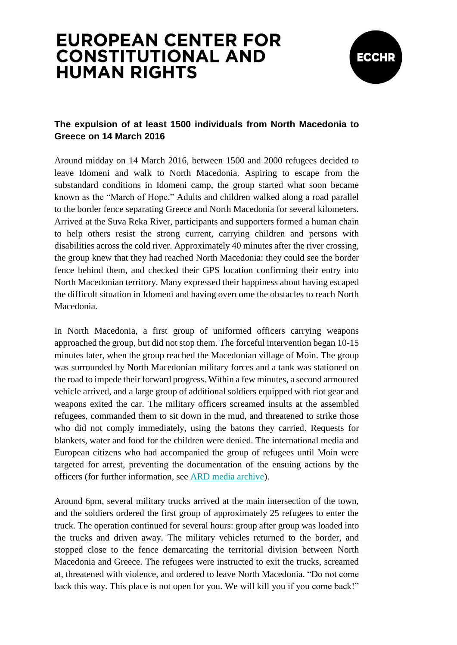

### **The expulsion of at least 1500 individuals from North Macedonia to Greece on 14 March 2016**

Around midday on 14 March 2016, between 1500 and 2000 refugees decided to leave Idomeni and walk to North Macedonia. Aspiring to escape from the substandard conditions in Idomeni camp, the group started what soon became known as the "March of Hope." Adults and children walked along a road parallel to the border fence separating Greece and North Macedonia for several kilometers. Arrived at the Suva Reka River, participants and supporters formed a human chain to help others resist the strong current, carrying children and persons with disabilities across the cold river. Approximately 40 minutes after the river crossing, the group knew that they had reached North Macedonia: they could see the border fence behind them, and checked their GPS location confirming their entry into North Macedonian territory. Many expressed their happiness about having escaped the difficult situation in Idomeni and having overcome the obstacles to reach North Macedonia.

In North Macedonia, a first group of uniformed officers carrying weapons approached the group, but did not stop them. The forceful intervention began 10-15 minutes later, when the group reached the Macedonian village of Moin. The group was surrounded by North Macedonian military forces and a tank was stationed on the road to impede their forward progress. Within a few minutes, a second armoured vehicle arrived, and a large group of additional soldiers equipped with riot gear and weapons exited the car. The military officers screamed insults at the assembled refugees, commanded them to sit down in the mud, and threatened to strike those who did not comply immediately, using the batons they carried. Requests for blankets, water and food for the children were denied. The international media and European citizens who had accompanied the group of refugees until Moin were targeted for arrest, preventing the documentation of the ensuing actions by the officers (for further information, see [ARD media archive\)](http://www.ardmediathek.de/tv/Zapp/Fl%C3%BCchtlingskrise-Presse-bei-Arbeit-behi/NDR-Fernsehen/Video?bcastId=3714742&documentId=34149546).

Around 6pm, several military trucks arrived at the main intersection of the town, and the soldiers ordered the first group of approximately 25 refugees to enter the truck. The operation continued for several hours: group after group was loaded into the trucks and driven away. The military vehicles returned to the border, and stopped close to the fence demarcating the territorial division between North Macedonia and Greece. The refugees were instructed to exit the trucks, screamed at, threatened with violence, and ordered to leave North Macedonia. "Do not come back this way. This place is not open for you. We will kill you if you come back!"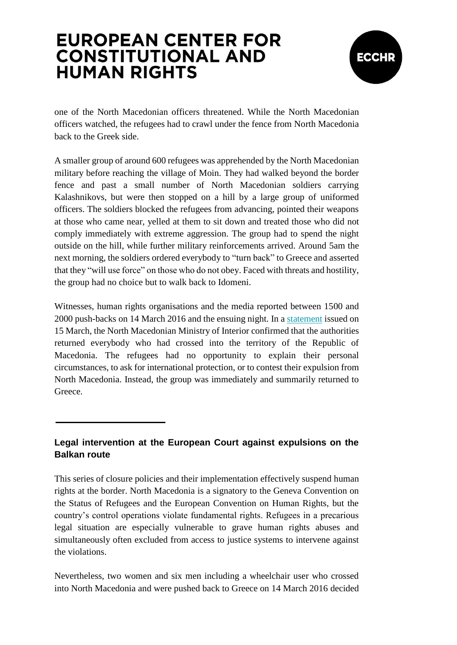

one of the North Macedonian officers threatened. While the North Macedonian officers watched, the refugees had to crawl under the fence from North Macedonia back to the Greek side.

A smaller group of around 600 refugees was apprehended by the North Macedonian military before reaching the village of Moin. They had walked beyond the border fence and past a small number of North Macedonian soldiers carrying Kalashnikovs, but were then stopped on a hill by a large group of uniformed officers. The soldiers blocked the refugees from advancing, pointed their weapons at those who came near, yelled at them to sit down and treated those who did not comply immediately with extreme aggression. The group had to spend the night outside on the hill, while further military reinforcements arrived. Around 5am the next morning, the soldiers ordered everybody to "turn back" to Greece and asserted that they "will use force" on those who do not obey. Faced with threats and hostility, the group had no choice but to walk back to Idomeni.

Witnesses, human rights organisations and the media reported between 1500 and 2000 push-backs on 14 March 2016 and the ensuing night. In a [statement](http://www.mvr.gov.mk/) issued on 15 March, the North Macedonian Ministry of Interior confirmed that the authorities returned everybody who had crossed into the territory of the Republic of Macedonia. The refugees had no opportunity to explain their personal circumstances, to ask for international protection, or to contest their expulsion from North Macedonia. Instead, the group was immediately and summarily returned to Greece.

#### **Legal intervention at the European Court against expulsions on the Balkan route**

This series of closure policies and their implementation effectively suspend human rights at the border. North Macedonia is a signatory to the Geneva Convention on the Status of Refugees and the European Convention on Human Rights, but the country's control operations violate fundamental rights. Refugees in a precarious legal situation are especially vulnerable to grave human rights abuses and simultaneously often excluded from access to justice systems to intervene against the violations.

Nevertheless, two women and six men including a wheelchair user who crossed into North Macedonia and were pushed back to Greece on 14 March 2016 decided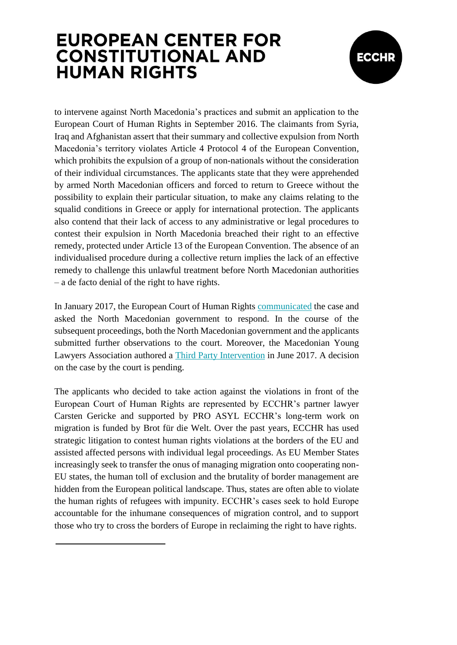

to intervene against North Macedonia's practices and submit an application to the European Court of Human Rights in September 2016. The claimants from Syria, Iraq and Afghanistan assert that their summary and collective expulsion from North Macedonia's territory violates Article 4 Protocol 4 of the European Convention, which prohibits the expulsion of a group of non-nationals without the consideration of their individual circumstances. The applicants state that they were apprehended by armed North Macedonian officers and forced to return to Greece without the possibility to explain their particular situation, to make any claims relating to the squalid conditions in Greece or apply for international protection. The applicants also contend that their lack of access to any administrative or legal procedures to contest their expulsion in North Macedonia breached their right to an effective remedy, protected under Article 13 of the European Convention. The absence of an individualised procedure during a collective return implies the lack of an effective remedy to challenge this unlawful treatment before North Macedonian authorities – a de facto denial of the right to have rights.

In January 2017, the European Court of Human Rights [communicated](https://hudoc.echr.coe.int/eng#{%22itemid%22:[%22001-171439%22]}) the case and asked the North Macedonian government to respond. In the course of the subsequent proceedings, both the North Macedonian government and the applicants submitted further observations to the court. Moreover, the Macedonian Young Lawyers Association authored a [Third Party Intervention](http://myla.org.mk/wp-content/uploads/2017/08/MYLA-Third-Party-Internvention-AA-and-Others-v-MKD-29.06.2017.pdf) in June 2017. A decision on the case by the court is pending.

The applicants who decided to take action against the violations in front of the European Court of Human Rights are represented by ECCHR's partner lawyer Carsten Gericke and supported by PRO ASYL ECCHR's long-term work on migration is funded by Brot für die Welt. Over the past years, ECCHR has used strategic litigation to contest human rights violations at the borders of the EU and assisted affected persons with individual legal proceedings. As EU Member States increasingly seek to transfer the onus of managing migration onto cooperating non-EU states, the human toll of exclusion and the brutality of border management are hidden from the European political landscape. Thus, states are often able to violate the human rights of refugees with impunity. ECCHR's cases seek to hold Europe accountable for the inhumane consequences of migration control, and to support those who try to cross the borders of Europe in reclaiming the right to have rights.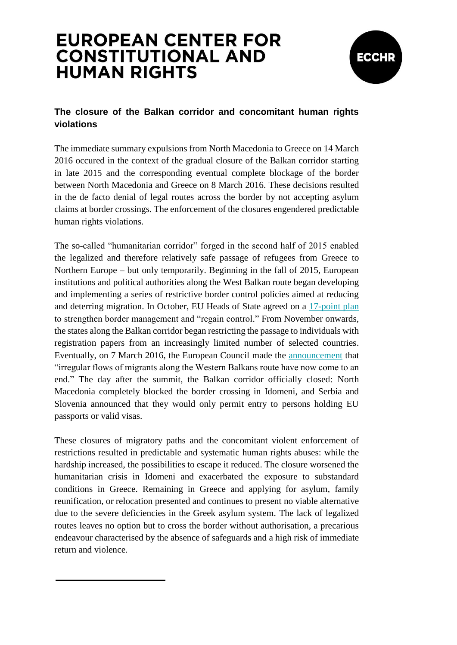

### **The closure of the Balkan corridor and concomitant human rights violations**

The immediate summary expulsions from North Macedonia to Greece on 14 March 2016 occured in the context of the gradual closure of the Balkan corridor starting in late 2015 and the corresponding eventual complete blockage of the border between North Macedonia and Greece on 8 March 2016. These decisions resulted in the de facto denial of legal routes across the border by not accepting asylum claims at border crossings. The enforcement of the closures engendered predictable human rights violations.

The so-called "humanitarian corridor" forged in the second half of 2015 enabled the legalized and therefore relatively safe passage of refugees from Greece to Northern Europe – but only temporarily. Beginning in the fall of 2015, European institutions and political authorities along the West Balkan route began developing and implementing a series of restrictive border control policies aimed at reducing and deterring migration. In October, EU Heads of State agreed on a [17-point plan](http://ec.europa.eu/news/2015/docs/leader_statement_final.pdf) to strengthen border management and "regain control." From November onwards, the states along the Balkan corridor began restricting the passage to individuals with registration papers from an increasingly limited number of selected countries. Eventually, on 7 March 2016, the European Council made the [announcement](http://www.consilium.europa.eu/en/press/press-releases/2016/03/07-eu-turkey-meeting-statement) that "irregular flows of migrants along the Western Balkans route have now come to an end." The day after the summit, the Balkan corridor officially closed: North Macedonia completely blocked the border crossing in Idomeni, and Serbia and Slovenia announced that they would only permit entry to persons holding EU passports or valid visas.

These closures of migratory paths and the concomitant violent enforcement of restrictions resulted in predictable and systematic human rights abuses: while the hardship increased, the possibilities to escape it reduced. The closure worsened the humanitarian crisis in Idomeni and exacerbated the exposure to substandard conditions in Greece. Remaining in Greece and applying for asylum, family reunification, or relocation presented and continues to present no viable alternative due to the severe deficiencies in the Greek asylum system. The lack of legalized routes leaves no option but to cross the border without authorisation, a precarious endeavour characterised by the absence of safeguards and a high risk of immediate return and violence.